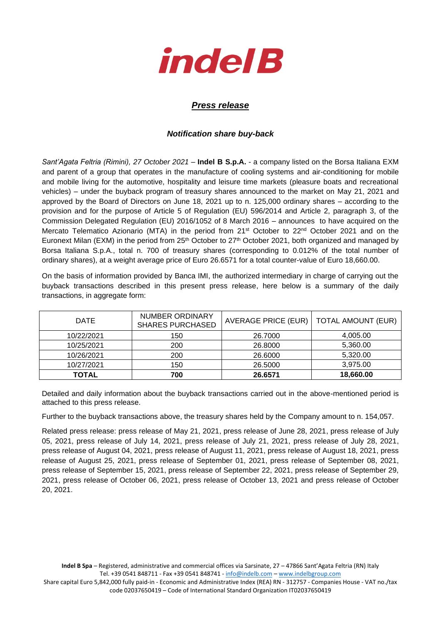

## *Press release*

## *Notification share buy-back*

*Sant'Agata Feltria (Rimini), 27 October 2021* – **Indel B S.p.A.** - a company listed on the Borsa Italiana EXM and parent of a group that operates in the manufacture of cooling systems and air-conditioning for mobile and mobile living for the automotive, hospitality and leisure time markets (pleasure boats and recreational vehicles) – under the buyback program of treasury shares announced to the market on May 21, 2021 and approved by the Board of Directors on June 18, 2021 up to n. 125,000 ordinary shares – according to the provision and for the purpose of Article 5 of Regulation (EU) 596/2014 and Article 2, paragraph 3, of the Commission Delegated Regulation (EU) 2016/1052 of 8 March 2016 – announces to have acquired on the Mercato Telematico Azionario (MTA) in the period from 21<sup>st</sup> October to 22<sup>nd</sup> October 2021 and on the Euronext Milan (EXM) in the period from 25<sup>th</sup> October to 27<sup>th</sup> October 2021, both organized and managed by Borsa Italiana S.p.A., total n. 700 of treasury shares (corresponding to 0.012% of the total number of ordinary shares), at a weight average price of Euro 26.6571 for a total counter-value of Euro 18,660.00.

On the basis of information provided by Banca IMI, the authorized intermediary in charge of carrying out the buyback transactions described in this present press release, here below is a summary of the daily transactions, in aggregate form:

| <b>DATE</b> | NUMBER ORDINARY<br><b>SHARES PURCHASED</b> | <b>AVERAGE PRICE (EUR)</b> | <b>TOTAL AMOUNT (EUR)</b> |
|-------------|--------------------------------------------|----------------------------|---------------------------|
| 10/22/2021  | 150                                        | 26,7000                    | 4,005.00                  |
| 10/25/2021  | 200                                        | 26,8000                    | 5,360.00                  |
| 10/26/2021  | 200                                        | 26,6000                    | 5.320.00                  |
| 10/27/2021  | 150                                        | 26,5000                    | 3,975.00                  |
| TOTAL       | 700                                        | 26.6571                    | 18,660.00                 |

Detailed and daily information about the buyback transactions carried out in the above-mentioned period is attached to this press release.

Further to the buyback transactions above, the treasury shares held by the Company amount to n. 154,057.

Related press release: press release of May 21, 2021, press release of June 28, 2021, press release of July 05, 2021, press release of July 14, 2021, press release of July 21, 2021, press release of July 28, 2021, press release of August 04, 2021, press release of August 11, 2021, press release of August 18, 2021, press release of August 25, 2021, press release of September 01, 2021, press release of September 08, 2021, press release of September 15, 2021, press release of September 22, 2021, press release of September 29, 2021, press release of October 06, 2021, press release of October 13, 2021 and press release of October 20, 2021.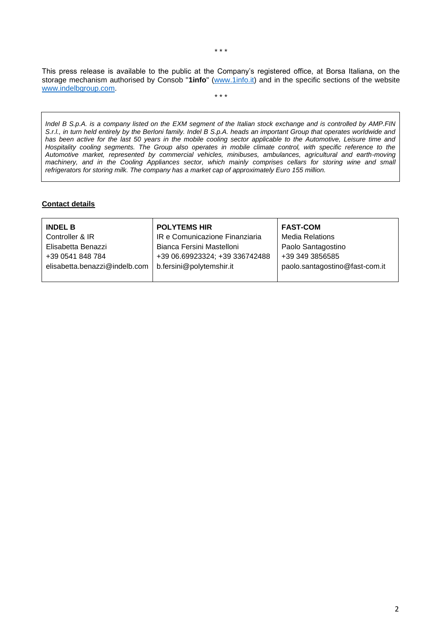This press release is available to the public at the Company's registered office, at Borsa Italiana, on the storage mechanism authorised by Consob "**1info**" [\(www.1info.it\)](file:///C:/Users/ddelietovollaro/AppData/Local/Microsoft/Windows/INetCache/Content.Outlook/T87B94UR/www.1info.it) and in the specific sections of the website [www.indelbgroup.com.](http://www.indelbgroup.com/) \* \* \*

*Indel B S.p.A. is a company listed on the EXM segment of the Italian stock exchange and is controlled by AMP.FIN S.r.l., in turn held entirely by the Berloni family. Indel B S.p.A. heads an important Group that operates worldwide and has been active for the last 50 years in the mobile cooling sector applicable to the Automotive, Leisure time and Hospitality cooling segments. The Group also operates in mobile climate control, with specific reference to the Automotive market, represented by commercial vehicles, minibuses, ambulances, agricultural and earth-moving machinery, and in the Cooling Appliances sector, which mainly comprises cellars for storing wine and small refrigerators for storing milk. The company has a market cap of approximately Euro 155 million.*

## **Contact details**

| <b>INDEL B</b>                | <b>POLYTEMS HIR</b>            | <b>FAST-COM</b>                |
|-------------------------------|--------------------------------|--------------------------------|
| Controller & IR               | IR e Comunicazione Finanziaria | <b>Media Relations</b>         |
| Elisabetta Benazzi            | Bianca Fersini Mastelloni      | Paolo Santagostino             |
| +39 0541 848 784              | +39 06.69923324; +39 336742488 | +39 349 3856585                |
| elisabetta.benazzi@indelb.com | b.fersini@polytemshir.it       | paolo.santagostino@fast-com.it |
|                               |                                |                                |